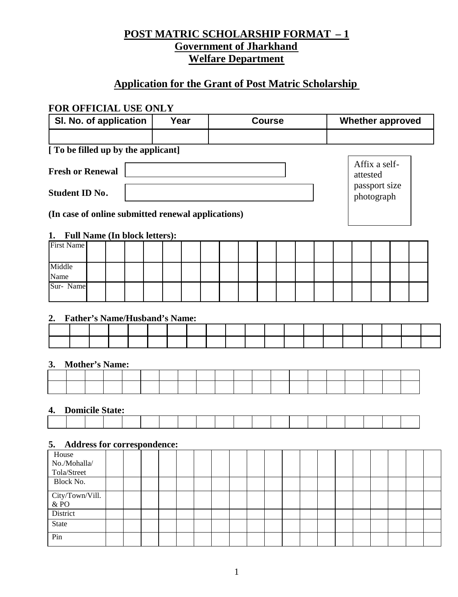# **POST MATRIC SCHOLARSHIP FORMAT – 1 Government of Jharkhand Welfare Department**

# **Application for the Grant of Post Matric Scholarship**

### **FOR OFFICIAL USE ONLY**

State Pin

| SI. No. of application                             | Year                      | <b>Course</b> | <b>Whether approved</b>     |  |  |  |
|----------------------------------------------------|---------------------------|---------------|-----------------------------|--|--|--|
|                                                    |                           |               |                             |  |  |  |
| [ To be filled up by the applicant]                |                           |               |                             |  |  |  |
| <b>Fresh or Renewal</b>                            | Affix a self-<br>attested |               |                             |  |  |  |
| <b>Student ID No.</b>                              |                           |               | passport size<br>photograph |  |  |  |
| (In case of online submitted renewal applications) |                           |               |                             |  |  |  |
| <b>Full Name (In block letters):</b><br>1.         |                           |               |                             |  |  |  |
| <b>First Name</b>                                  |                           |               |                             |  |  |  |
| Middle<br>Name                                     |                           |               |                             |  |  |  |
| Sur-Name                                           |                           |               |                             |  |  |  |
|                                                    |                           |               |                             |  |  |  |
| <b>Father's Name/Husband's Name:</b><br>2.         |                           |               |                             |  |  |  |
|                                                    |                           |               |                             |  |  |  |
|                                                    |                           |               |                             |  |  |  |
| <b>Mother's Name:</b><br>3.                        |                           |               |                             |  |  |  |
|                                                    |                           |               |                             |  |  |  |
|                                                    |                           |               |                             |  |  |  |
|                                                    |                           |               |                             |  |  |  |
| <b>Domicile State:</b><br>4.                       |                           |               |                             |  |  |  |
|                                                    |                           |               |                             |  |  |  |
| <b>Address for correspondence:</b><br>5.           |                           |               |                             |  |  |  |
| House<br>No./Mohalla/                              |                           |               |                             |  |  |  |
| Tola/Street<br>Block No.                           |                           |               |                             |  |  |  |
| City/Town/Vill.                                    |                           |               |                             |  |  |  |
| $\&$ PO $\,$                                       |                           |               |                             |  |  |  |
| District                                           |                           |               |                             |  |  |  |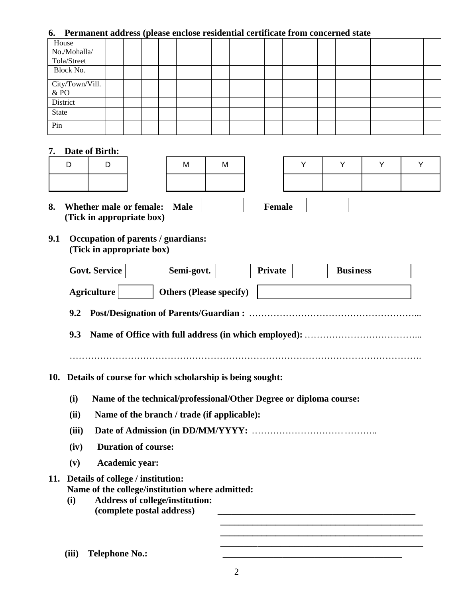### **6. Permanent address (please enclose residential certificate from concerned state**

| House           |  | $\sim$ |  |  |  |  |  |  |  |  |
|-----------------|--|--------|--|--|--|--|--|--|--|--|
| No./Mohalla/    |  |        |  |  |  |  |  |  |  |  |
| Tola/Street     |  |        |  |  |  |  |  |  |  |  |
| Block No.       |  |        |  |  |  |  |  |  |  |  |
| City/Town/Vill. |  |        |  |  |  |  |  |  |  |  |
| $\&$ PO $\,$    |  |        |  |  |  |  |  |  |  |  |
| District        |  |        |  |  |  |  |  |  |  |  |
| State           |  |        |  |  |  |  |  |  |  |  |
| Pin             |  |        |  |  |  |  |  |  |  |  |

#### **7. Date of Birth:**

| D | D |
|---|---|
|   |   |

|        | Dait VI DII 111. |            |            |  |  |  |
|--------|------------------|------------|------------|--|--|--|
| ∽<br>ັ | ∽                | <b>IVI</b> | <b>IVI</b> |  |  |  |
|        |                  |            |            |  |  |  |
|        |                  |            |            |  |  |  |

- **8.** Whether male or female: Male **Female (Tick in appropriate box)**
- **9.1 Occupation of parents / guardians: (Tick in appropriate box)**

|     |       | <b>Govt. Service</b><br>Semi-govt.<br><b>Business</b><br><b>Private</b>                                                                                     |
|-----|-------|-------------------------------------------------------------------------------------------------------------------------------------------------------------|
|     |       | <b>Agriculture</b><br><b>Others (Please specify)</b>                                                                                                        |
|     | 9.2   |                                                                                                                                                             |
|     | 9.3   |                                                                                                                                                             |
| 10. |       | Details of course for which scholarship is being sought:                                                                                                    |
|     | (i)   | Name of the technical/professional/Other Degree or diploma course:                                                                                          |
|     | (ii)  | Name of the branch / trade (if applicable):                                                                                                                 |
|     | (iii) |                                                                                                                                                             |
|     | (iv)  | <b>Duration of course:</b>                                                                                                                                  |
|     | (v)   | Academic year:                                                                                                                                              |
| 11. | (i)   | Details of college / institution:<br>Name of the college/institution where admitted:<br><b>Address of college/institution:</b><br>(complete postal address) |
|     |       |                                                                                                                                                             |

**(iii) Telephone No.: \_\_\_\_\_\_\_\_\_\_\_\_\_\_\_\_\_\_\_\_\_\_\_\_\_\_\_\_\_\_\_\_\_\_\_\_\_\_\_**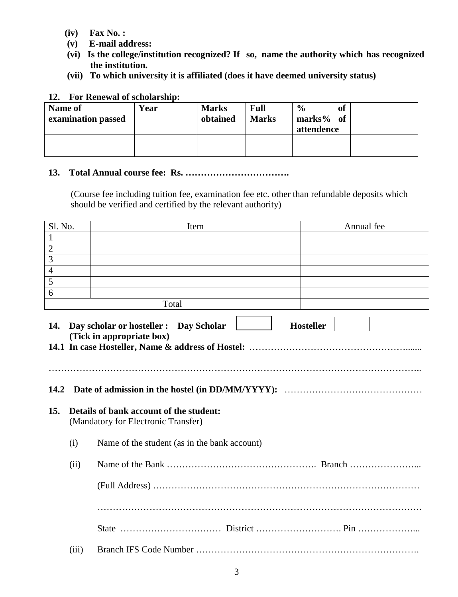- **(iv) Fax No. :**
- **(v) E-mail address:**
- **(vi) Is the college/institution recognized? If so, name the authority which has recognized the institution.**
- **(vii) To which university it is affiliated (does it have deemed university status)**

### **12. For Renewal of scholarship:**

| Name of<br>examination passed | Year | <b>Marks</b><br>obtained | <b>Full</b><br><b>Marks</b> | <sub>of</sub><br>$\frac{6}{9}$<br>marks $%$ of<br>attendence |  |
|-------------------------------|------|--------------------------|-----------------------------|--------------------------------------------------------------|--|
|                               |      |                          |                             |                                                              |  |

### **13. Total Annual course fee: Rs. …………………………….**

(Course fee including tuition fee, examination fee etc. other than refundable deposits which should be verified and certified by the relevant authority)

| Sl. No.        |       | Item                                                                           | Annual fee       |
|----------------|-------|--------------------------------------------------------------------------------|------------------|
| $\mathbf{1}$   |       |                                                                                |                  |
| $\overline{2}$ |       |                                                                                |                  |
| $\overline{3}$ |       |                                                                                |                  |
| $\overline{4}$ |       |                                                                                |                  |
| $\overline{5}$ |       |                                                                                |                  |
| 6              |       |                                                                                |                  |
|                |       | Total                                                                          |                  |
| 14.            |       | Day scholar or hosteller : Day Scholar<br>(Tick in appropriate box)            | <b>Hosteller</b> |
| 14.2<br>15.    |       | Details of bank account of the student:<br>(Mandatory for Electronic Transfer) |                  |
|                | (i)   | Name of the student (as in the bank account)                                   |                  |
|                | (ii)  |                                                                                |                  |
|                |       |                                                                                |                  |
|                |       |                                                                                |                  |
|                |       |                                                                                |                  |
|                | (iii) |                                                                                |                  |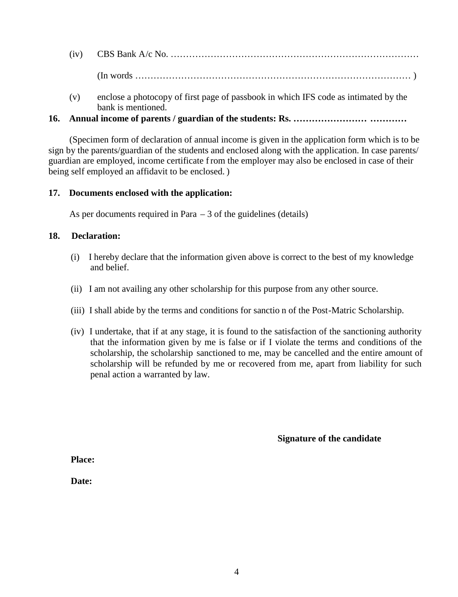(iv) CBS Bank A/c No. ………………………………………………………………………

(In words ……………………………………………………………………………… )

(v) enclose a photocopy of first page of passbook in which IFS code as intimated by the bank is mentioned.

## **16. Annual income of parents / guardian of the students: Rs. …………………… …………**

(Specimen form of declaration of annual income is given in the application form which is to be sign by the parents/guardian of the students and enclosed along with the application. In case parents/ guardian are employed, income certificate from the employer may also be enclosed in case of their being self employed an affidavit to be enclosed. )

## **17. Documents enclosed with the application:**

As per documents required in Para  $-3$  of the guidelines (details)

## **18. Declaration:**

- (i) I hereby declare that the information given above is correct to the best of my knowledge and belief.
- (ii) I am not availing any other scholarship for this purpose from any other source.
- (iii) I shall abide by the terms and conditions for sanctio n of the Post-Matric Scholarship.
- (iv) I undertake, that if at any stage, it is found to the satisfaction of the sanctioning authority that the information given by me is false or if I violate the terms and conditions of the scholarship, the scholarship sanctioned to me, may be cancelled and the entire amount of scholarship will be refunded by me or recovered from me, apart from liability for such penal action a warranted by law.

**Signature of the candidate**

**Place:**

**Date:**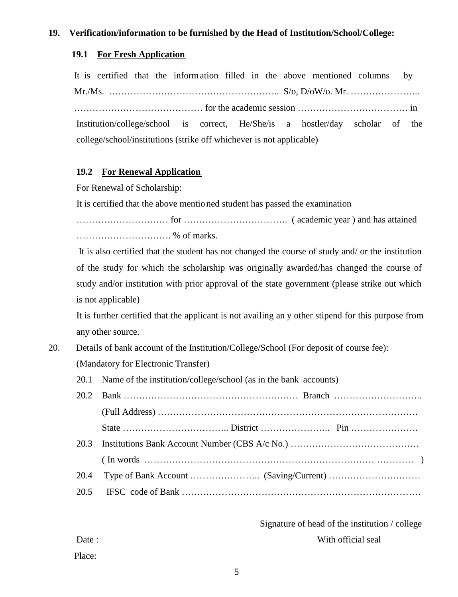### **19. Verification/information to be furnished by the Head of Institution/School/College:**

### **19.1 For Fresh Application**

It is certified that the information filled in the above mentioned columns by Mr./Ms. ……………………………………………….. S/o, D/oW/o. Mr. ………………….. …………………………………… for the academic session ……………………………… in Institution/college/school is correct, He/She/is a hostler/day scholar of the college/school/institutions (strike off whichever is not applicable)

### **19.2 For Renewal Application**

For Renewal of Scholarship:

It is certified that the above mentio ned student has passed the examination

………………………… for ……………………………. ( academic year ) and has attained …………………………. % of marks.

It is also certified that the student has not changed the course of study and/ or the institution of the study for which the scholarship was originally awarded/has changed the course of study and/or institution with prior approval of the state government (please strike out which is not applicable)

It is further certified that the applicant is not availing an y other stipend for this purpose from any other source.

- 20. Details of bank account of the Institution/College/School (For deposit of course fee): (Mandatory for Electronic Transfer)
	- 20.1 Name of the institution/college/school (as in the bank accounts)

Signature of head of the institution / college Date : With official seal

Place: